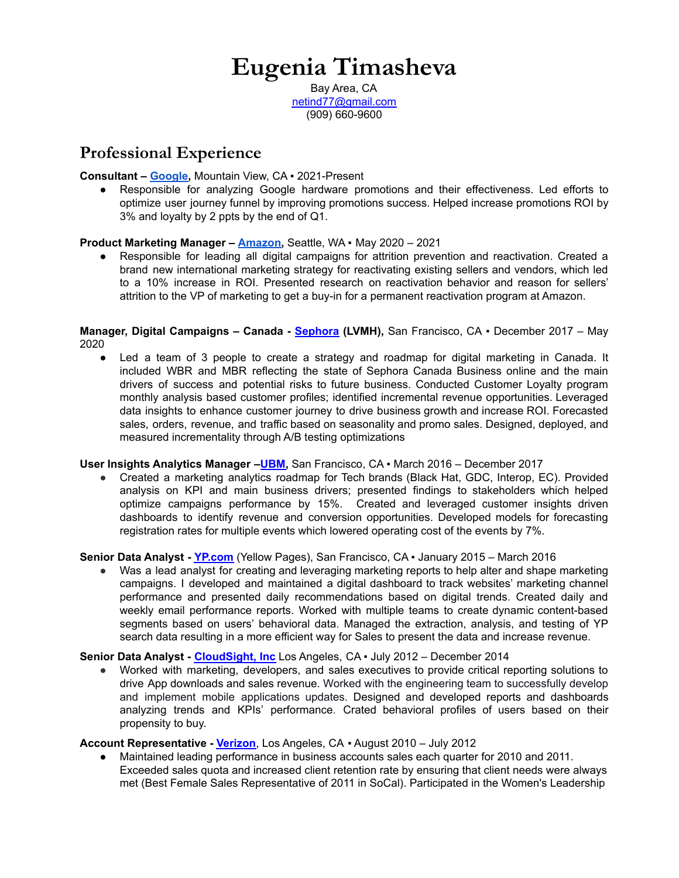# **Eugenia Timasheva**

Bay Area, CA [netind77@gmail.com](mailto:netind77@gmail.com) (909) 660-9600

# **Professional Experience**

#### **Consultant – [Google,](https://www.google.com/)** Mountain View, CA ▪ 2021-Present

● Responsible for analyzing Google hardware promotions and their effectiveness. Led efforts to optimize user journey funnel by improving promotions success. Helped increase promotions ROI by 3% and loyalty by 2 ppts by the end of Q1.

#### **Product Marketing Manager – [Amazon,](https://www.amazon.com/)** Seattle, WA ▪ May 2020 – 2021

● Responsible for leading all digital campaigns for attrition prevention and reactivation. Created a brand new international marketing strategy for reactivating existing sellers and vendors, which led to a 10% increase in ROI. Presented research on reactivation behavior and reason for sellers' attrition to the VP of marketing to get a buy-in for a permanent reactivation program at Amazon.

#### **Manager, Digital Campaigns – Canada - [Sephora](http://www.sephora.ca) (LVMH),** San Francisco, CA ▪ December 2017 – May 2020

● Led a team of 3 people to create a strategy and roadmap for digital marketing in Canada. It included WBR and MBR reflecting the state of Sephora Canada Business online and the main drivers of success and potential risks to future business. Conducted Customer Loyalty program monthly analysis based customer profiles; identified incremental revenue opportunities. Leveraged data insights to enhance customer journey to drive business growth and increase ROI. Forecasted sales, orders, revenue, and traffic based on seasonality and promo sales. Designed, deployed, and measured incrementality through A/B testing optimizations

#### **User Insights Analytics Manager –[UBM,](http://tech.ubm.com/)** San Francisco, CA ▪ March 2016 – December 2017

Created a marketing analytics roadmap for Tech brands (Black Hat, GDC, Interop, EC). Provided analysis on KPI and main business drivers; presented findings to stakeholders which helped optimize campaigns performance by 15%. Created and leveraged customer insights driven dashboards to identify revenue and conversion opportunities. Developed models for forecasting registration rates for multiple events which lowered operating cost of the events by 7%.

## **Senior Data Analyst - [YP.com](http://yellowpages.com/)** (Yellow Pages), San Francisco, CA ▪ January 2015 – March 2016

Was a lead analyst for creating and leveraging marketing reports to help alter and shape marketing campaigns. I developed and maintained a digital dashboard to track websites' marketing channel performance and presented daily recommendations based on digital trends. Created daily and weekly email performance reports. Worked with multiple teams to create dynamic content-based segments based on users' behavioral data. Managed the extraction, analysis, and testing of YP search data resulting in a more efficient way for Sales to present the data and increase revenue.

#### **Senior Data Analyst - [CloudSight,](https://cloudsight.ai/) Inc** Los Angeles, CA ▪ July 2012 – December 2014

Worked with marketing, developers, and sales executives to provide critical reporting solutions to drive App downloads and sales revenue. Worked with the engineering team to successfully develop and implement mobile applications updates. Designed and developed reports and dashboards analyzing trends and KPIs' performance. Crated behavioral profiles of users based on their propensity to buy.

## **Account Representative - [Verizon](http://www.verizonwireless.com/)**, Los Angeles, CA ▪ August 2010 – July 2012

Maintained leading performance in business accounts sales each quarter for 2010 and 2011. Exceeded sales quota and increased client retention rate by ensuring that client needs were always met (Best Female Sales Representative of 2011 in SoCal). Participated in the Women's Leadership